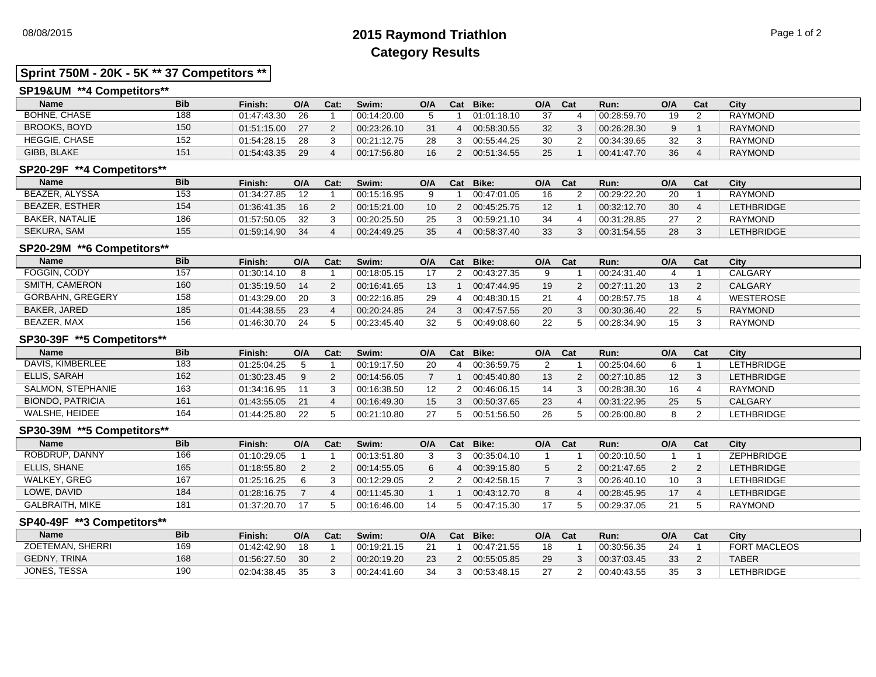# 08/08/2015 **2015 Raymond Triathlon** Page 1 of 2 **Category Results**

# **Sprint 750M - 20K - 5K \*\* 37 Competitors \*\***

## **SP19&UM \*\*4 Competitors\*\***

| <b>Name</b>          | <b>Bib</b> | Finish:     | O/A | Cat: | Swim:       | O/A | Cat | Bike:       | O/A | Cat | Run:        | O/A | Cat | City           |
|----------------------|------------|-------------|-----|------|-------------|-----|-----|-------------|-----|-----|-------------|-----|-----|----------------|
| <b>BOHNE, CHASE</b>  | 188        | 01:47:43.30 | 26  |      | 00:14:20.00 |     |     | 01:01:18.10 | 27  |     | 00:28:59.70 | 19  |     | <b>RAYMOND</b> |
| <b>BROOKS, BOYD</b>  | 150        | 01:51:15.00 | 27  |      | 00:23:26.10 | 31  |     | 00:58:30.55 | 32  |     | 00:26:28.30 |     |     | <b>RAYMOND</b> |
| <b>HEGGIE, CHASE</b> | 152        | 01:54:28.15 | 28  |      | 00:21:12.75 | 28  |     | 00:55:44.25 | 30  |     | 00:34:39.65 | 32  |     | <b>RAYMOND</b> |
| GIBB, BLAKE          | 151        | 01:54:43.35 | 29  |      | 00:17:56.80 | 16  |     | 00:51:34.55 | 25  |     | 00:41:47.70 | 36  |     | <b>RAYMOND</b> |

## **SP20-29F \*\*4 Competitors\*\***

| <b>Name</b>           | <b>Bib</b> | Finish:     | O/A | Cat: | Swim:       | O/A | Cat | Bike:       | O/A | Cat | Run:        | O/A | Cat | City           |
|-----------------------|------------|-------------|-----|------|-------------|-----|-----|-------------|-----|-----|-------------|-----|-----|----------------|
| BEAZER. ALYSSA        | 153        | 01:34:27.85 |     |      | 00:15:16.95 |     |     | 00:47:01.05 | 16  |     | 00:29:22.20 | 20  |     | <b>RAYMOND</b> |
| <b>BEAZER, ESTHER</b> | 154        | 01:36:41.35 | 16  |      | 00:15:21.00 |     |     | 00.45.25.75 |     |     | 00:32:12.70 | 30  |     | LETHBRIDGE     |
| BAKER, NATALIE        | 186        | 01:57:50.05 | -32 |      | 00:20:25.50 | 25  |     | 00:59:21.10 | 34  |     | 00:31:28.85 | 27  |     | RAYMOND        |
| SEKURA, SAM           | 155        | 01:59:14.90 | 34  |      | 00:24:49.25 | 35  |     | 00:58:37.40 | 33  |     | 00:31:54.55 | 28  |     | LETHBRIDGE     |

#### **SP20-29M \*\*6 Competitors\*\***

| <b>Name</b>             | <b>Bib</b> | Finish:     | O/A | Cat: | Swim:       | O/A | Cat | Bike:       | O/A | Cat | Run:        | O/A | Cat | City           |
|-------------------------|------------|-------------|-----|------|-------------|-----|-----|-------------|-----|-----|-------------|-----|-----|----------------|
| <b>FOGGIN, CODY</b>     | 157        | 01:30:14.10 |     |      | 00:18:05.15 |     |     | 00.43:27.35 |     |     | 00:24:31.40 |     |     | CALGARY        |
| SMITH, CAMERON          | 160        | 01:35:19.50 | 14  |      | 00:16:41.65 | 13  |     | 00.47.44.95 | 19  |     | 00:27:11.20 | 13  |     | <b>CALGARY</b> |
| <b>GORBAHN, GREGERY</b> | 158        | 01:43:29.00 | 20  |      | 00:22:16.85 | 29  |     | 00:48:30.15 |     |     | 00:28:57.75 | 18  |     | WESTEROSE      |
| BAKER, JARED            | 185        | 01:44:38.55 | 23  |      | 00:20:24.85 | 24  |     | 00.47.57.55 | 20  |     | 00:30:36.40 | 22  |     | <b>RAYMOND</b> |
| BEAZER, MAX             | 156        | 01:46:30.70 | 24  |      | 00:23:45.40 | 32  |     | 00:49:08.60 |     |     | 00:28:34.90 | 15  |     | <b>RAYMOND</b> |

## **SP30-39F \*\*5 Competitors\*\***

| <b>Name</b>             | <b>Bib</b> | Finish:     | O/A | Cat: | Swim:       | O/A | Cat | Bike:       | O/A | Cat | Run:        | O/A                | Cat | City              |
|-------------------------|------------|-------------|-----|------|-------------|-----|-----|-------------|-----|-----|-------------|--------------------|-----|-------------------|
| DAVIS, KIMBERLEE        | 183        | 01:25:04.25 |     |      | 00:19:17.50 | 20  |     | 00:36:59.75 |     |     | 00:25:04.60 | 6                  |     | <b>LETHBRIDGE</b> |
| ELLIS, SARAH            | 162        | 01:30:23.45 |     |      | 00:14:56.05 |     |     | 00.45.40.80 | 13  |     | 00:27:10.85 | 12 <sup>2</sup>    |     | <b>LETHBRIDGE</b> |
| SALMON, STEPHANIE       | 163        | 01:34:16.95 |     |      | 00:16:38.50 | 12  |     | 00.46.06.15 | 14  |     | 00:28:38.30 | 16                 |     | <b>RAYMOND</b>    |
| <b>BIONDO, PATRICIA</b> | 161        | 01:43:55.05 | 21  |      | 00:16:49.30 | 15  |     | 00:50:37.65 | 23  |     | 00:31:22.95 | 25                 |     | <b>CALGARY</b>    |
| WALSHE, HEIDEE          | 164        | 01:44:25.80 | 22  |      | 00:21:10.80 | 27  |     | 00:51:56.50 | 26  |     | 00:26:00.80 | <sup>o</sup><br>o. |     | <b>LETHBRIDGE</b> |

#### **SP30-39M \*\*5 Competitors\*\***

| <b>Name</b>     | <b>Bib</b> | Finish:     | O/A | Cat: | Swim:       | O/A | Cat | Bike:       | O/A | Cat | Run:        | O/A | Cat | City              |
|-----------------|------------|-------------|-----|------|-------------|-----|-----|-------------|-----|-----|-------------|-----|-----|-------------------|
| ROBDRUP, DANNY  | 166        | 01:10:29.05 |     |      | 00:13:51.80 |     |     | 00:35:04.10 |     |     | 00:20:10.50 |     |     | ZEPHBRIDGE        |
| ELLIS, SHANE    | 165        | 01:18:55.80 |     |      | 00:14:55.05 |     |     | 00:39:15.80 |     |     | 00:21:47.65 |     |     | <b>LETHBRIDGE</b> |
| WALKEY, GREG    | 167        | 01:25:16.25 |     |      | 00:12:29.05 |     |     | 00:42:58.15 |     |     | 00:26:40.10 | 10  |     | <b>LETHBRIDGE</b> |
| LOWE, DAVID     | 184        | 01:28:16.75 |     |      | 00:11:45.30 |     |     | 00.43.12.70 |     |     | 00:28:45.95 |     |     | <b>LETHBRIDGE</b> |
| GALBRAITH. MIKE | 181        | 01:37:20.70 |     |      | 00:16:46.00 | 14  |     | 00:47:15.30 |     |     | 00:29:37.05 | 21  |     | RAYMOND           |

#### **SP40-49F \*\*3 Competitors\*\***

| Name                | <b>Bib</b> | Finish:     | O/A             | Cat: | Swim:       | O/A | Cat | Bike:       | O/A | Cat | Run:        | O/A | Cat | City                |
|---------------------|------------|-------------|-----------------|------|-------------|-----|-----|-------------|-----|-----|-------------|-----|-----|---------------------|
| ZOETEMAN, SHERRI    | 169        | 01:42:42.90 | 18              |      | 00:19:21.15 |     |     | 00:47:21.55 |     |     | 00:30:56.35 | 24  |     | <b>FORT MACLEOS</b> |
| <b>GEDNY, TRINA</b> | 168        | 01:56:27.50 | 30 <sup>°</sup> |      | 00:20:19.20 | 23  |     | 00.55.05.85 |     |     | 00:37:03.45 | 33  |     | <b>TABER</b>        |
| JONES, TESSA        | 190        | 02:04:38.45 | 35              |      | 00:24:41.60 | 34  |     | 00.53.48.15 |     |     | 00:40:43.55 | 35  |     | LETHBRIDGE          |